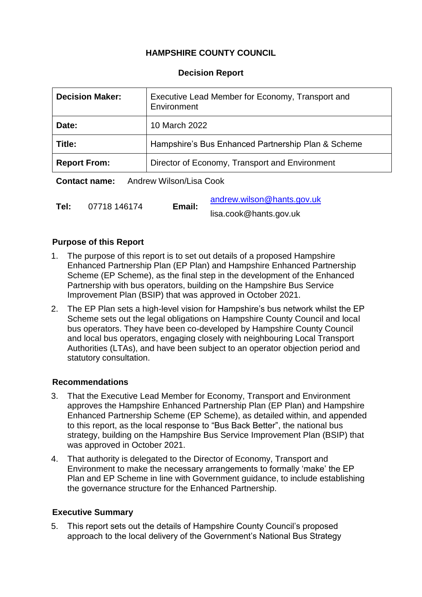# **HAMPSHIRE COUNTY COUNCIL**

#### **Decision Report**

| <b>Decision Maker:</b>                          | Executive Lead Member for Economy, Transport and<br>Environment |  |
|-------------------------------------------------|-----------------------------------------------------------------|--|
| Date:                                           | 10 March 2022                                                   |  |
| Title:                                          | Hampshire's Bus Enhanced Partnership Plan & Scheme              |  |
| <b>Report From:</b>                             | Director of Economy, Transport and Environment                  |  |
| Andrew Wilson/Lisa Cook<br><b>Contact name:</b> |                                                                 |  |

|      |              | Email: | andrew.wilson@hants.gov.uk |
|------|--------------|--------|----------------------------|
| Tel: | 07718 146174 |        | lisa.cook@hants.gov.uk     |

#### **Purpose of this Report**

- 1. The purpose of this report is to set out details of a proposed Hampshire Enhanced Partnership Plan (EP Plan) and Hampshire Enhanced Partnership Scheme (EP Scheme), as the final step in the development of the Enhanced Partnership with bus operators, building on the Hampshire Bus Service Improvement Plan (BSIP) that was approved in October 2021.
- 2. The EP Plan sets a high-level vision for Hampshire's bus network whilst the EP Scheme sets out the legal obligations on Hampshire County Council and local bus operators. They have been co-developed by Hampshire County Council and local bus operators, engaging closely with neighbouring Local Transport Authorities (LTAs), and have been subject to an operator objection period and statutory consultation.

#### **Recommendations**

- 3. That the Executive Lead Member for Economy, Transport and Environment approves the Hampshire Enhanced Partnership Plan (EP Plan) and Hampshire Enhanced Partnership Scheme (EP Scheme), as detailed within, and appended to this report, as the local response to "Bus Back Better", the national bus strategy, building on the Hampshire Bus Service Improvement Plan (BSIP) that was approved in October 2021.
- 4. That authority is delegated to the Director of Economy, Transport and Environment to make the necessary arrangements to formally 'make' the EP Plan and EP Scheme in line with Government guidance, to include establishing the governance structure for the Enhanced Partnership.

## **Executive Summary**

5. This report sets out the details of Hampshire County Council's proposed approach to the local delivery of the Government's National Bus Strategy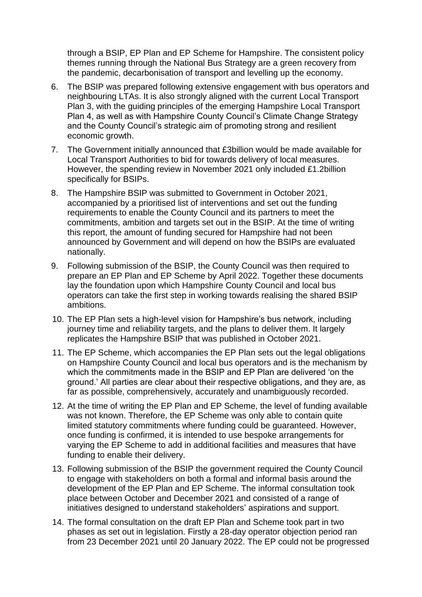through a BSIP, EP Plan and EP Scheme for Hampshire. The consistent policy themes running through the National Bus Strategy are a green recovery from the pandemic, decarbonisation of transport and levelling up the economy.

- 6. The BSIP was prepared following extensive engagement with bus operators and neighbouring LTAs. It is also strongly aligned with the current Local Transport Plan 3, with the guiding principles of the emerging Hampshire Local Transport Plan 4, as well as with Hampshire County Council's Climate Change Strategy and the County Council's strategic aim of promoting strong and resilient economic growth.
- 7. The Government initially announced that £3billion would be made available for Local Transport Authorities to bid for towards delivery of local measures. However, the spending review in November 2021 only included £1.2billion specifically for BSIPs.
- 8. The Hampshire BSIP was submitted to Government in October 2021, accompanied by a prioritised list of interventions and set out the funding requirements to enable the County Council and its partners to meet the commitments, ambition and targets set out in the BSIP. At the time of writing this report, the amount of funding secured for Hampshire had not been announced by Government and will depend on how the BSIPs are evaluated nationally.
- 9. Following submission of the BSIP, the County Council was then required to prepare an EP Plan and EP Scheme by April 2022. Together these documents lay the foundation upon which Hampshire County Council and local bus operators can take the first step in working towards realising the shared BSIP ambitions.
- 10. The EP Plan sets a high-level vision for Hampshire's bus network, including journey time and reliability targets, and the plans to deliver them. It largely replicates the Hampshire BSIP that was published in October 2021.
- 11. The EP Scheme, which accompanies the EP Plan sets out the legal obligations on Hampshire County Council and local bus operators and is the mechanism by which the commitments made in the BSIP and EP Plan are delivered 'on the ground.' All parties are clear about their respective obligations, and they are, as far as possible, comprehensively, accurately and unambiguously recorded.
- 12. At the time of writing the EP Plan and EP Scheme, the level of funding available was not known. Therefore, the EP Scheme was only able to contain quite limited statutory commitments where funding could be guaranteed. However, once funding is confirmed, it is intended to use bespoke arrangements for varying the EP Scheme to add in additional facilities and measures that have funding to enable their delivery.
- 13. Following submission of the BSIP the government required the County Council to engage with stakeholders on both a formal and informal basis around the development of the EP Plan and EP Scheme. The informal consultation took place between October and December 2021 and consisted of a range of initiatives designed to understand stakeholders' aspirations and support.
- 14. The formal consultation on the draft EP Plan and Scheme took part in two phases as set out in legislation. Firstly a 28-day operator objection period ran from 23 December 2021 until 20 January 2022. The EP could not be progressed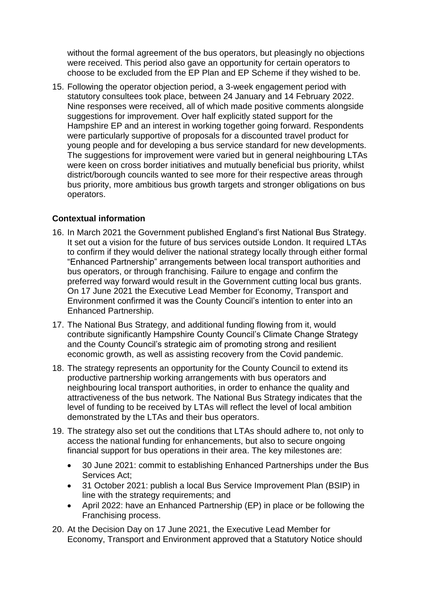without the formal agreement of the bus operators, but pleasingly no objections were received. This period also gave an opportunity for certain operators to choose to be excluded from the EP Plan and EP Scheme if they wished to be.

15. Following the operator objection period, a 3-week engagement period with statutory consultees took place, between 24 January and 14 February 2022. Nine responses were received, all of which made positive comments alongside suggestions for improvement. Over half explicitly stated support for the Hampshire EP and an interest in working together going forward. Respondents were particularly supportive of proposals for a discounted travel product for young people and for developing a bus service standard for new developments. The suggestions for improvement were varied but in general neighbouring LTAs were keen on cross border initiatives and mutually beneficial bus priority, whilst district/borough councils wanted to see more for their respective areas through bus priority, more ambitious bus growth targets and stronger obligations on bus operators.

### **Contextual information**

- 16. In March 2021 the Government published England's first National Bus Strategy. It set out a vision for the future of bus services outside London. It required LTAs to confirm if they would deliver the national strategy locally through either formal "Enhanced Partnership" arrangements between local transport authorities and bus operators, or through franchising. Failure to engage and confirm the preferred way forward would result in the Government cutting local bus grants. On 17 June 2021 the Executive Lead Member for Economy, Transport and Environment confirmed it was the County Council's intention to enter into an Enhanced Partnership.
- 17. The National Bus Strategy, and additional funding flowing from it, would contribute significantly Hampshire County Council's Climate Change Strategy and the County Council's strategic aim of promoting strong and resilient economic growth, as well as assisting recovery from the Covid pandemic.
- 18. The strategy represents an opportunity for the County Council to extend its productive partnership working arrangements with bus operators and neighbouring local transport authorities, in order to enhance the quality and attractiveness of the bus network. The National Bus Strategy indicates that the level of funding to be received by LTAs will reflect the level of local ambition demonstrated by the LTAs and their bus operators.
- 19. The strategy also set out the conditions that LTAs should adhere to, not only to access the national funding for enhancements, but also to secure ongoing financial support for bus operations in their area. The key milestones are:
	- 30 June 2021: commit to establishing Enhanced Partnerships under the Bus Services Act;
	- 31 October 2021: publish a local Bus Service Improvement Plan (BSIP) in line with the strategy requirements; and
	- April 2022: have an Enhanced Partnership (EP) in place or be following the Franchising process.
- 20. At the Decision Day on 17 June 2021, the Executive Lead Member for Economy, Transport and Environment approved that a Statutory Notice should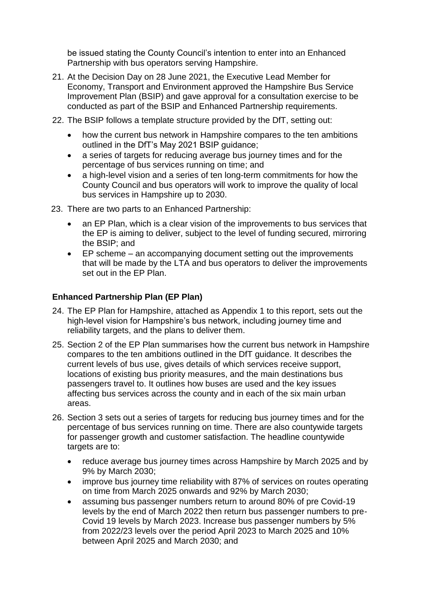be issued stating the County Council's intention to enter into an Enhanced Partnership with bus operators serving Hampshire.

- 21. At the Decision Day on 28 June 2021, the Executive Lead Member for Economy, Transport and Environment approved the Hampshire Bus Service Improvement Plan (BSIP) and gave approval for a consultation exercise to be conducted as part of the BSIP and Enhanced Partnership requirements.
- 22. The BSIP follows a template structure provided by the DfT, setting out:
	- how the current bus network in Hampshire compares to the ten ambitions outlined in the DfT's May 2021 BSIP guidance;
	- a series of targets for reducing average bus journey times and for the percentage of bus services running on time; and
	- a high-level vision and a series of ten long-term commitments for how the County Council and bus operators will work to improve the quality of local bus services in Hampshire up to 2030.
- 23. There are two parts to an Enhanced Partnership:
	- an EP Plan, which is a clear vision of the improvements to bus services that the EP is aiming to deliver, subject to the level of funding secured, mirroring the BSIP; and
	- EP scheme an accompanying document setting out the improvements that will be made by the LTA and bus operators to deliver the improvements set out in the EP Plan.

### **Enhanced Partnership Plan (EP Plan)**

- 24. The EP Plan for Hampshire, attached as Appendix 1 to this report, sets out the high-level vision for Hampshire's bus network, including journey time and reliability targets, and the plans to deliver them.
- 25. Section 2 of the EP Plan summarises how the current bus network in Hampshire compares to the ten ambitions outlined in the DfT guidance. It describes the current levels of bus use, gives details of which services receive support, locations of existing bus priority measures, and the main destinations bus passengers travel to. It outlines how buses are used and the key issues affecting bus services across the county and in each of the six main urban areas.
- 26. Section 3 sets out a series of targets for reducing bus journey times and for the percentage of bus services running on time. There are also countywide targets for passenger growth and customer satisfaction. The headline countywide targets are to:
	- reduce average bus journey times across Hampshire by March 2025 and by 9% by March 2030;
	- improve bus journey time reliability with 87% of services on routes operating on time from March 2025 onwards and 92% by March 2030;
	- assuming bus passenger numbers return to around 80% of pre Covid-19 levels by the end of March 2022 then return bus passenger numbers to pre-Covid 19 levels by March 2023. Increase bus passenger numbers by 5% from 2022/23 levels over the period April 2023 to March 2025 and 10% between April 2025 and March 2030; and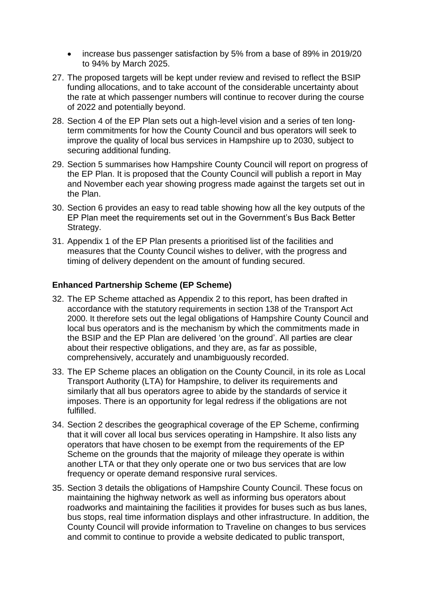- increase bus passenger satisfaction by 5% from a base of 89% in 2019/20 to 94% by March 2025.
- 27. The proposed targets will be kept under review and revised to reflect the BSIP funding allocations, and to take account of the considerable uncertainty about the rate at which passenger numbers will continue to recover during the course of 2022 and potentially beyond.
- 28. Section 4 of the EP Plan sets out a high-level vision and a series of ten longterm commitments for how the County Council and bus operators will seek to improve the quality of local bus services in Hampshire up to 2030, subject to securing additional funding.
- 29. Section 5 summarises how Hampshire County Council will report on progress of the EP Plan. It is proposed that the County Council will publish a report in May and November each year showing progress made against the targets set out in the Plan.
- 30. Section 6 provides an easy to read table showing how all the key outputs of the EP Plan meet the requirements set out in the Government's Bus Back Better Strategy.
- 31. Appendix 1 of the EP Plan presents a prioritised list of the facilities and measures that the County Council wishes to deliver, with the progress and timing of delivery dependent on the amount of funding secured.

## **Enhanced Partnership Scheme (EP Scheme)**

- 32. The EP Scheme attached as Appendix 2 to this report, has been drafted in accordance with the statutory requirements in section 138 of the Transport Act 2000. It therefore sets out the legal obligations of Hampshire County Council and local bus operators and is the mechanism by which the commitments made in the BSIP and the EP Plan are delivered 'on the ground'. All parties are clear about their respective obligations, and they are, as far as possible, comprehensively, accurately and unambiguously recorded.
- 33. The EP Scheme places an obligation on the County Council, in its role as Local Transport Authority (LTA) for Hampshire, to deliver its requirements and similarly that all bus operators agree to abide by the standards of service it imposes. There is an opportunity for legal redress if the obligations are not fulfilled.
- 34. Section 2 describes the geographical coverage of the EP Scheme, confirming that it will cover all local bus services operating in Hampshire. It also lists any operators that have chosen to be exempt from the requirements of the EP Scheme on the grounds that the majority of mileage they operate is within another LTA or that they only operate one or two bus services that are low frequency or operate demand responsive rural services.
- 35. Section 3 details the obligations of Hampshire County Council. These focus on maintaining the highway network as well as informing bus operators about roadworks and maintaining the facilities it provides for buses such as bus lanes, bus stops, real time information displays and other infrastructure. In addition, the County Council will provide information to Traveline on changes to bus services and commit to continue to provide a website dedicated to public transport,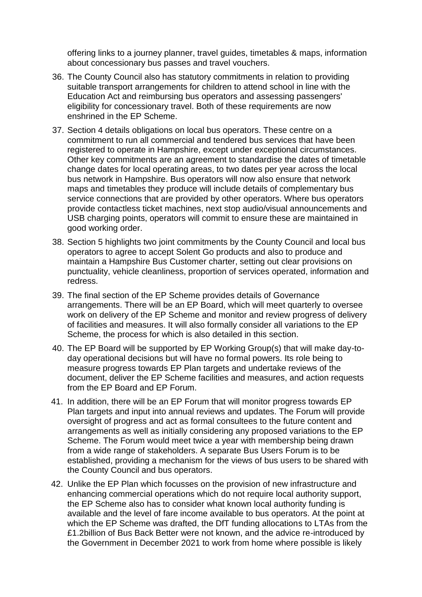offering links to a journey planner, travel guides, timetables & maps, information about concessionary bus passes and travel vouchers.

- 36. The County Council also has statutory commitments in relation to providing suitable transport arrangements for children to attend school in line with the Education Act and reimbursing bus operators and assessing passengers' eligibility for concessionary travel. Both of these requirements are now enshrined in the EP Scheme.
- 37. Section 4 details obligations on local bus operators. These centre on a commitment to run all commercial and tendered bus services that have been registered to operate in Hampshire, except under exceptional circumstances. Other key commitments are an agreement to standardise the dates of timetable change dates for local operating areas, to two dates per year across the local bus network in Hampshire. Bus operators will now also ensure that network maps and timetables they produce will include details of complementary bus service connections that are provided by other operators. Where bus operators provide contactless ticket machines, next stop audio/visual announcements and USB charging points, operators will commit to ensure these are maintained in good working order.
- 38. Section 5 highlights two joint commitments by the County Council and local bus operators to agree to accept Solent Go products and also to produce and maintain a Hampshire Bus Customer charter, setting out clear provisions on punctuality, vehicle cleanliness, proportion of services operated, information and redress.
- 39. The final section of the EP Scheme provides details of Governance arrangements. There will be an EP Board, which will meet quarterly to oversee work on delivery of the EP Scheme and monitor and review progress of delivery of facilities and measures. It will also formally consider all variations to the EP Scheme, the process for which is also detailed in this section.
- 40. The EP Board will be supported by EP Working Group(s) that will make day-today operational decisions but will have no formal powers. Its role being to measure progress towards EP Plan targets and undertake reviews of the document, deliver the EP Scheme facilities and measures, and action requests from the EP Board and EP Forum.
- 41. In addition, there will be an EP Forum that will monitor progress towards EP Plan targets and input into annual reviews and updates. The Forum will provide oversight of progress and act as formal consultees to the future content and arrangements as well as initially considering any proposed variations to the EP Scheme. The Forum would meet twice a year with membership being drawn from a wide range of stakeholders. A separate Bus Users Forum is to be established, providing a mechanism for the views of bus users to be shared with the County Council and bus operators.
- 42. Unlike the EP Plan which focusses on the provision of new infrastructure and enhancing commercial operations which do not require local authority support, the EP Scheme also has to consider what known local authority funding is available and the level of fare income available to bus operators. At the point at which the EP Scheme was drafted, the DfT funding allocations to LTAs from the £1.2billion of Bus Back Better were not known, and the advice re-introduced by the Government in December 2021 to work from home where possible is likely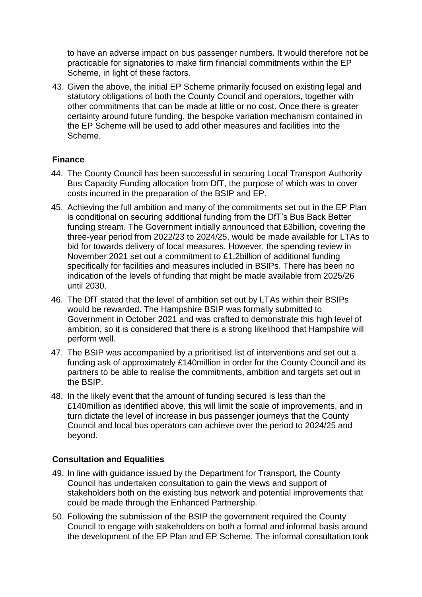to have an adverse impact on bus passenger numbers. It would therefore not be practicable for signatories to make firm financial commitments within the EP Scheme, in light of these factors.

43. Given the above, the initial EP Scheme primarily focused on existing legal and statutory obligations of both the County Council and operators, together with other commitments that can be made at little or no cost. Once there is greater certainty around future funding, the bespoke variation mechanism contained in the EP Scheme will be used to add other measures and facilities into the Scheme.

### **Finance**

- 44. The County Council has been successful in securing Local Transport Authority Bus Capacity Funding allocation from DfT, the purpose of which was to cover costs incurred in the preparation of the BSIP and EP.
- 45. Achieving the full ambition and many of the commitments set out in the EP Plan is conditional on securing additional funding from the DfT's Bus Back Better funding stream. The Government initially announced that £3billion, covering the three-year period from 2022/23 to 2024/25, would be made available for LTAs to bid for towards delivery of local measures. However, the spending review in November 2021 set out a commitment to £1.2billion of additional funding specifically for facilities and measures included in BSIPs. There has been no indication of the levels of funding that might be made available from 2025/26 until 2030.
- 46. The DfT stated that the level of ambition set out by LTAs within their BSIPs would be rewarded. The Hampshire BSIP was formally submitted to Government in October 2021 and was crafted to demonstrate this high level of ambition, so it is considered that there is a strong likelihood that Hampshire will perform well.
- 47. The BSIP was accompanied by a prioritised list of interventions and set out a funding ask of approximately £140million in order for the County Council and its partners to be able to realise the commitments, ambition and targets set out in the BSIP.
- 48. In the likely event that the amount of funding secured is less than the £140million as identified above, this will limit the scale of improvements, and in turn dictate the level of increase in bus passenger journeys that the County Council and local bus operators can achieve over the period to 2024/25 and beyond.

## **Consultation and Equalities**

- 49. In line with guidance issued by the Department for Transport, the County Council has undertaken consultation to gain the views and support of stakeholders both on the existing bus network and potential improvements that could be made through the Enhanced Partnership.
- 50. Following the submission of the BSIP the government required the County Council to engage with stakeholders on both a formal and informal basis around the development of the EP Plan and EP Scheme. The informal consultation took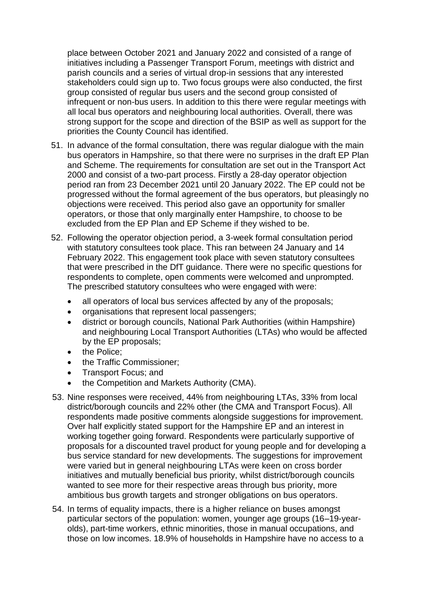place between October 2021 and January 2022 and consisted of a range of initiatives including a Passenger Transport Forum, meetings with district and parish councils and a series of virtual drop-in sessions that any interested stakeholders could sign up to. Two focus groups were also conducted, the first group consisted of regular bus users and the second group consisted of infrequent or non-bus users. In addition to this there were regular meetings with all local bus operators and neighbouring local authorities. Overall, there was strong support for the scope and direction of the BSIP as well as support for the priorities the County Council has identified.

- 51. In advance of the formal consultation, there was regular dialogue with the main bus operators in Hampshire, so that there were no surprises in the draft EP Plan and Scheme. The requirements for consultation are set out in the Transport Act 2000 and consist of a two-part process. Firstly a 28-day operator objection period ran from 23 December 2021 until 20 January 2022. The EP could not be progressed without the formal agreement of the bus operators, but pleasingly no objections were received. This period also gave an opportunity for smaller operators, or those that only marginally enter Hampshire, to choose to be excluded from the EP Plan and EP Scheme if they wished to be.
- 52. Following the operator objection period, a 3-week formal consultation period with statutory consultees took place. This ran between 24 January and 14 February 2022. This engagement took place with seven statutory consultees that were prescribed in the DfT guidance. There were no specific questions for respondents to complete, open comments were welcomed and unprompted. The prescribed statutory consultees who were engaged with were:
	- all operators of local bus services affected by any of the proposals;
	- organisations that represent local passengers;
	- district or borough councils, National Park Authorities (within Hampshire) and neighbouring Local Transport Authorities (LTAs) who would be affected by the EP proposals;
	- the Police;
	- the Traffic Commissioner;
	- Transport Focus; and
	- the Competition and Markets Authority (CMA).
- 53. Nine responses were received, 44% from neighbouring LTAs, 33% from local district/borough councils and 22% other (the CMA and Transport Focus). All respondents made positive comments alongside suggestions for improvement. Over half explicitly stated support for the Hampshire EP and an interest in working together going forward. Respondents were particularly supportive of proposals for a discounted travel product for young people and for developing a bus service standard for new developments. The suggestions for improvement were varied but in general neighbouring LTAs were keen on cross border initiatives and mutually beneficial bus priority, whilst district/borough councils wanted to see more for their respective areas through bus priority, more ambitious bus growth targets and stronger obligations on bus operators.
- 54. In terms of equality impacts, there is a higher reliance on buses amongst particular sectors of the population: women, younger age groups (16–19-yearolds), part-time workers, ethnic minorities, those in manual occupations, and those on low incomes. 18.9% of households in Hampshire have no access to a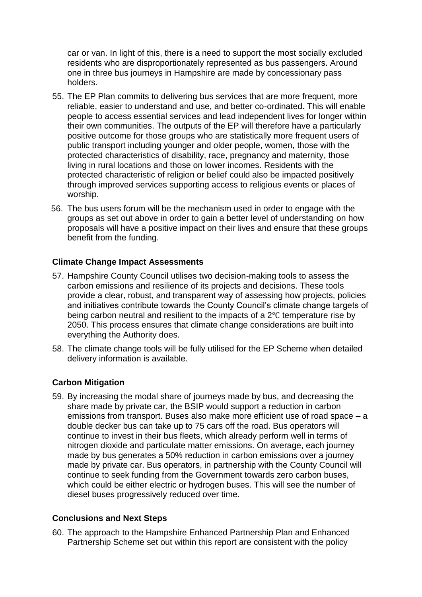car or van. In light of this, there is a need to support the most socially excluded residents who are disproportionately represented as bus passengers. Around one in three bus journeys in Hampshire are made by concessionary pass holders.

- 55. The EP Plan commits to delivering bus services that are more frequent, more reliable, easier to understand and use, and better co-ordinated. This will enable people to access essential services and lead independent lives for longer within their own communities. The outputs of the EP will therefore have a particularly positive outcome for those groups who are statistically more frequent users of public transport including younger and older people, women, those with the protected characteristics of disability, race, pregnancy and maternity, those living in rural locations and those on lower incomes. Residents with the protected characteristic of religion or belief could also be impacted positively through improved services supporting access to religious events or places of worship.
- 56. The bus users forum will be the mechanism used in order to engage with the groups as set out above in order to gain a better level of understanding on how proposals will have a positive impact on their lives and ensure that these groups benefit from the funding.

### **Climate Change Impact Assessments**

- 57. Hampshire County Council utilises two decision-making tools to assess the carbon emissions and resilience of its projects and decisions. These tools provide a clear, robust, and transparent way of assessing how projects, policies and initiatives contribute towards the County Council's climate change targets of being carbon neutral and resilient to the impacts of a 2℃ temperature rise by 2050. This process ensures that climate change considerations are built into everything the Authority does.
- 58. The climate change tools will be fully utilised for the EP Scheme when detailed delivery information is available.

#### **Carbon Mitigation**

59. By increasing the modal share of journeys made by bus, and decreasing the share made by private car, the BSIP would support a reduction in carbon emissions from transport. Buses also make more efficient use of road space – a double decker bus can take up to 75 cars off the road. Bus operators will continue to invest in their bus fleets, which already perform well in terms of nitrogen dioxide and particulate matter emissions. On average, each journey made by bus generates a 50% reduction in carbon emissions over a journey made by private car. Bus operators, in partnership with the County Council will continue to seek funding from the Government towards zero carbon buses, which could be either electric or hydrogen buses. This will see the number of diesel buses progressively reduced over time.

#### **Conclusions and Next Steps**

60. The approach to the Hampshire Enhanced Partnership Plan and Enhanced Partnership Scheme set out within this report are consistent with the policy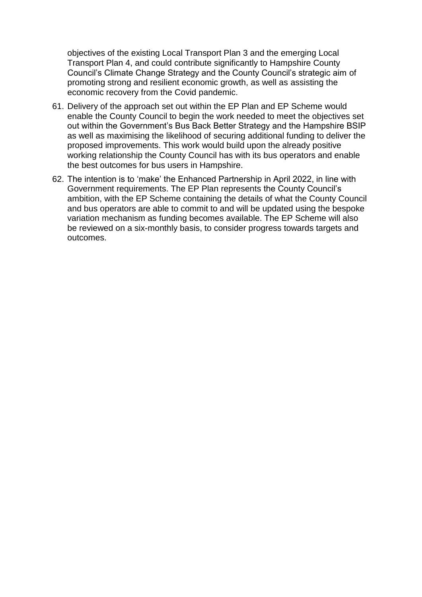objectives of the existing Local Transport Plan 3 and the emerging Local Transport Plan 4, and could contribute significantly to Hampshire County Council's Climate Change Strategy and the County Council's strategic aim of promoting strong and resilient economic growth, as well as assisting the economic recovery from the Covid pandemic.

- 61. Delivery of the approach set out within the EP Plan and EP Scheme would enable the County Council to begin the work needed to meet the objectives set out within the Government's Bus Back Better Strategy and the Hampshire BSIP as well as maximising the likelihood of securing additional funding to deliver the proposed improvements. This work would build upon the already positive working relationship the County Council has with its bus operators and enable the best outcomes for bus users in Hampshire.
- 62. The intention is to 'make' the Enhanced Partnership in April 2022, in line with Government requirements. The EP Plan represents the County Council's ambition, with the EP Scheme containing the details of what the County Council and bus operators are able to commit to and will be updated using the bespoke variation mechanism as funding becomes available. The EP Scheme will also be reviewed on a six-monthly basis, to consider progress towards targets and outcomes.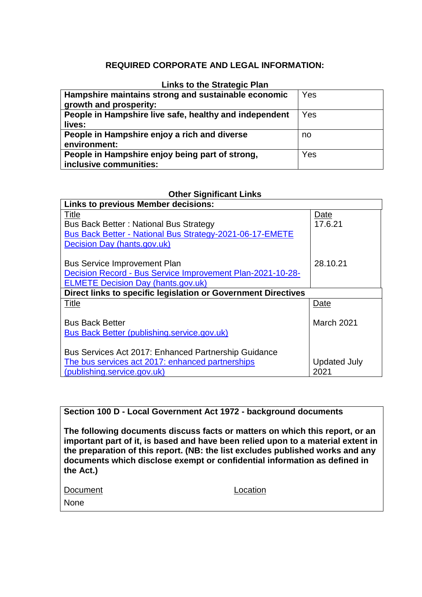## **REQUIRED CORPORATE AND LEGAL INFORMATION:**

#### **Links to the Strategic Plan**

| Hampshire maintains strong and sustainable economic<br>growth and prosperity: | Yes |
|-------------------------------------------------------------------------------|-----|
| People in Hampshire live safe, healthy and independent<br>lives:              | Yes |
| People in Hampshire enjoy a rich and diverse<br>environment:                  | no  |
| People in Hampshire enjoy being part of strong,<br>inclusive communities:     | Yes |

### **Other Significant Links**

| <b>Links to previous Member decisions:</b>                      |                     |  |  |
|-----------------------------------------------------------------|---------------------|--|--|
| Title                                                           | Date                |  |  |
| <b>Bus Back Better: National Bus Strategy</b>                   | 17.6.21             |  |  |
| <b>Bus Back Better - National Bus Strategy-2021-06-17-EMETE</b> |                     |  |  |
| Decision Day (hants.gov.uk)                                     |                     |  |  |
|                                                                 |                     |  |  |
| <b>Bus Service Improvement Plan</b>                             | 28.10.21            |  |  |
| Decision Record - Bus Service Improvement Plan-2021-10-28-      |                     |  |  |
| <b>ELMETE Decision Day (hants.gov.uk)</b>                       |                     |  |  |
| Direct links to specific legislation or Government Directives   |                     |  |  |
| <b>Title</b>                                                    | Date                |  |  |
|                                                                 |                     |  |  |
| <b>Bus Back Better</b>                                          | March 2021          |  |  |
| Bus Back Better (publishing.service.gov.uk)                     |                     |  |  |
|                                                                 |                     |  |  |
| Bus Services Act 2017: Enhanced Partnership Guidance            |                     |  |  |
| The bus services act 2017: enhanced partnerships                | <b>Updated July</b> |  |  |
| (publishing.service.gov.uk)                                     | 2021                |  |  |

**Section 100 D - Local Government Act 1972 - background documents**

**The following documents discuss facts or matters on which this report, or an important part of it, is based and have been relied upon to a material extent in the preparation of this report. (NB: the list excludes published works and any documents which disclose exempt or confidential information as defined in the Act.)**

| Document | Location |
|----------|----------|
| None     |          |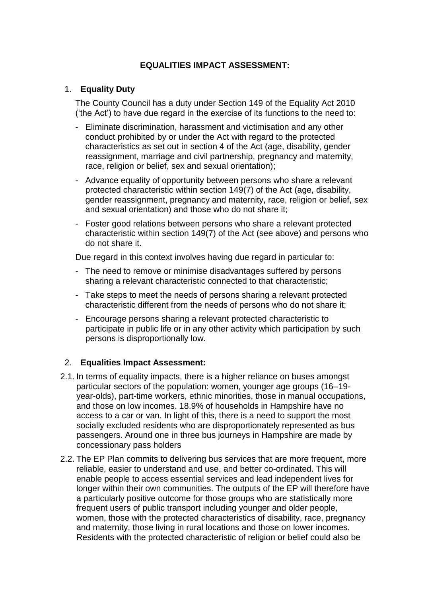## **EQUALITIES IMPACT ASSESSMENT:**

### 1. **Equality Duty**

The County Council has a duty under Section 149 of the Equality Act 2010 ('the Act') to have due regard in the exercise of its functions to the need to:

- Eliminate discrimination, harassment and victimisation and any other conduct prohibited by or under the Act with regard to the protected characteristics as set out in section 4 of the Act (age, disability, gender reassignment, marriage and civil partnership, pregnancy and maternity, race, religion or belief, sex and sexual orientation);
- Advance equality of opportunity between persons who share a relevant protected characteristic within section 149(7) of the Act (age, disability, gender reassignment, pregnancy and maternity, race, religion or belief, sex and sexual orientation) and those who do not share it;
- Foster good relations between persons who share a relevant protected characteristic within section 149(7) of the Act (see above) and persons who do not share it.

Due regard in this context involves having due regard in particular to:

- The need to remove or minimise disadvantages suffered by persons sharing a relevant characteristic connected to that characteristic;
- Take steps to meet the needs of persons sharing a relevant protected characteristic different from the needs of persons who do not share it;
- Encourage persons sharing a relevant protected characteristic to participate in public life or in any other activity which participation by such persons is disproportionally low.

## 2. **Equalities Impact Assessment:**

- 2.1. In terms of equality impacts, there is a higher reliance on buses amongst particular sectors of the population: women, younger age groups (16–19 year-olds), part-time workers, ethnic minorities, those in manual occupations, and those on low incomes. 18.9% of households in Hampshire have no access to a car or van. In light of this, there is a need to support the most socially excluded residents who are disproportionately represented as bus passengers. Around one in three bus journeys in Hampshire are made by concessionary pass holders
- 2.2. The EP Plan commits to delivering bus services that are more frequent, more reliable, easier to understand and use, and better co-ordinated. This will enable people to access essential services and lead independent lives for longer within their own communities. The outputs of the EP will therefore have a particularly positive outcome for those groups who are statistically more frequent users of public transport including younger and older people, women, those with the protected characteristics of disability, race, pregnancy and maternity, those living in rural locations and those on lower incomes. Residents with the protected characteristic of religion or belief could also be